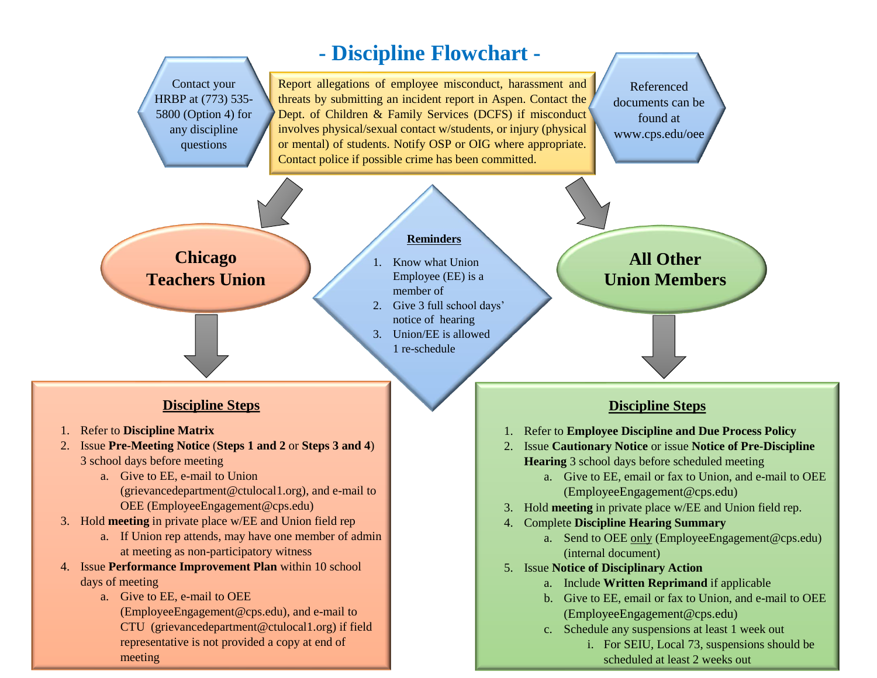